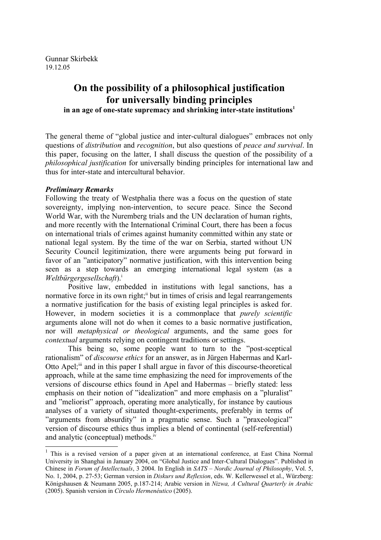Gunnar Skirbekk 19.12.05

# **On the possibility of a philosophical justification for universally binding principles in an age of one-state supremacy and shrinking inter-state institutions [1](#page-0-0)**

The general theme of "global justice and inter-cultural dialogues" embraces not only questions of *distribution* and *recognition*, but also questions of *peace and survival*. In this paper, focusing on the latter, I shall discuss the question of the possibility of a

*philosophical justification* for universally binding principles for international law and

## *Preliminary Remarks*

thus for inter-state and intercultural behavior.

Following the treaty of Westphalia there was a focus on the question of state sovereignty, implying non-intervention, to secure peace. Since the Second World War, with the Nuremberg trials and the UN declaration of human rights, and more recently with the International Criminal Court, there has been a focus on international trials of crimes against humanity committed within any state or national legal system. By the time of the war on Serbia, started without UN Security Council legitimization, there were arguments being put forward in favor of an "anticipatory" normative justification, with this intervention being seen as a step towards an emerging international legal system (as a *Weltbürgergesellschaft*).<sup>[i](#page-16-0)</sup>

Positive law, embedded in institutions with legal sanctions, has a normative force in its own right;<sup>[ii](#page-16-1)</sup> but in times of crisis and legal rearrangements a normative justification for the basis of existing legal principles is asked for. However, in modern societies it is a commonplace that *purely scientific* arguments alone will not do when it comes to a basic normative justification, nor will *metaphysical or theological* arguments, and the same goes for *contextual* arguments relying on contingent traditions or settings.

This being so, some people want to turn to the "post-sceptical rationalism" of *discourse ethics* for an answer, as in Jürgen Habermas and KarlOtto Apel;<sup>[iii](#page-16-2)</sup> and in this paper I shall argue in favor of this discourse-theoretical approach, while at the same time emphasizing the need for improvements of the versions of discourse ethics found in Apel and Habermas – briefly stated: less emphasis on their notion of "idealization" and more emphasis on a "pluralist" and "meliorist" approach, operating more analytically, for instance by cautious analyses of a variety of situated thought-experiments, preferably in terms of "arguments from absurdity" in a pragmatic sense. Such a "praxeological" version of discourse ethics thus implies a blend of continental (self-referential) and analytic (conceptual) methods.<sup>[iv](#page-16-3)</sup>

<span id="page-0-0"></span> $<sup>1</sup>$  This is a revised version of a paper given at an international conference, at East China Normal</sup> University in Shanghai in January 2004, on "Global Justice and Inter-Cultural Dialogues". Published in Chinese in *Forum of Intellectuals*, 3 2004. In English in *SATS – Nordic Journal of Philosophy*, Vol. 5, No. 1, 2004, p. 27-53; German version in *Diskurs und Reflexion*, eds. W. Kellerwessel et al., Würzberg: Königshausen & Neumann 2005, p.187-214; Arabic version in *Nizwa, A Cultural Quarterly in Arabic* (2005). Spanish version in *Círculo Hermenéutico* (2005).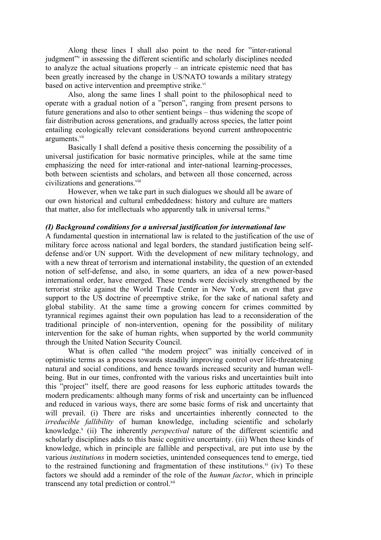Along these lines I shall also point to the need for "inter-rational judgment" in assessing the different scientific and scholarly disciplines needed to analyze the actual situations properly – an intricate epistemic need that has been greatly increased by the change in US/NATO towards a military strategy based on active intervention and preemptive strike.<sup>[vi](#page-16-5)</sup>

Also, along the same lines I shall point to the philosophical need to operate with a gradual notion of a "person", ranging from present persons to future generations and also to other sentient beings – thus widening the scope of fair distribution across generations, and gradually across species, the latter point entailing ecologically relevant considerations beyond current anthropocentric arguments.<sup>[vii](#page-16-6)</sup>

Basically I shall defend a positive thesis concerning the possibility of a universal justification for basic normative principles, while at the same time emphasizing the need for inter-rational and inter-national learning-processes, both between scientists and scholars, and between all those concerned, across civilizations and generations.<sup>[viii](#page-16-7)</sup>

However, when we take part in such dialogues we should all be aware of our own historical and cultural embeddedness: history and culture are matters that matter, also for intellectuals who apparently talk in universal terms.<sup>[ix](#page-16-8)</sup>

### *(I) Background conditions for a universal justification for international law*

A fundamental question in international law is related to the justification of the use of military force across national and legal borders, the standard justification being selfdefense and/or UN support. With the development of new military technology, and with a new threat of terrorism and international instability, the question of an extended notion of self-defense, and also, in some quarters, an idea of a new power-based international order, have emerged. These trends were decisively strengthened by the terrorist strike against the World Trade Center in New York, an event that gave support to the US doctrine of preemptive strike, for the sake of national safety and global stability. At the same time a growing concern for crimes committed by tyrannical regimes against their own population has lead to a reconsideration of the traditional principle of non-intervention, opening for the possibility of military intervention for the sake of human rights, when supported by the world community through the United Nation Security Council.

What is often called "the modern project" was initially conceived of in optimistic terms as a process towards steadily improving control over life-threatening natural and social conditions, and hence towards increased security and human wellbeing. But in our times, confronted with the various risks and uncertainties built into this "project" itself, there are good reasons for less euphoric attitudes towards the modern predicaments: although many forms of risk and uncertainty can be influenced and reduced in various ways, there are some basic forms of risk and uncertainty that will prevail. (i) There are risks and uncertainties inherently connected to the *irreducible fallibility* of human knowledge, including scientific and scholarly knowledge.<sup>[x](#page-16-9)</sup> (ii) The inherently *perspectival* nature of the different scientific and scholarly disciplines adds to this basic cognitive uncertainty. (iii) When these kinds of knowledge, which in principle are fallible and perspectival, are put into use by the various *institutions* in modern societies, unintended consequences tend to emerge, tied to the restrained functioning and fragmentation of these institutions. ${}^{xi}$  ${}^{xi}$  ${}^{xi}$  (iv) To these factors we should add a reminder of the role of the *human factor*, which in principle transcend any total prediction or control.<sup>[xii](#page-16-11)</sup>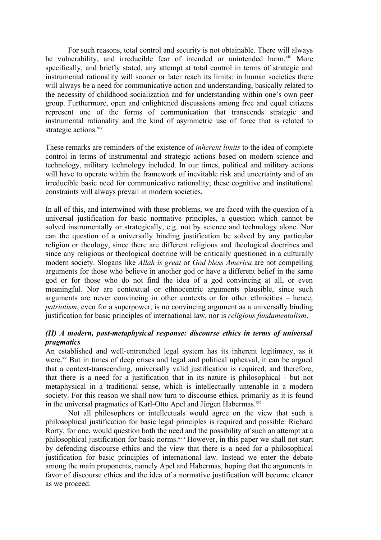For such reasons, total control and security is not obtainable. There will always be vulnerability, and irreducible fear of intended or unintended harm.<sup>[xiii](#page-16-12)</sup> More specifically, and briefly stated, any attempt at total control in terms of strategic and instrumental rationality will sooner or later reach its limits: in human societies there will always be a need for communicative action and understanding, basically related to the necessity of childhood socialization and for understanding within one's own peer group. Furthermore, open and enlightened discussions among free and equal citizens represent one of the forms of communication that transcends strategic and instrumental rationality and the kind of asymmetric use of force that is related to strategic actions.<sup>[xiv](#page-16-13)</sup>

These remarks are reminders of the existence of *inherent limits* to the idea of complete control in terms of instrumental and strategic actions based on modern science and technology, military technology included. In our times, political and military actions will have to operate within the framework of inevitable risk and uncertainty and of an irreducible basic need for communicative rationality; these cognitive and institutional constraints will always prevail in modern societies.

In all of this, and intertwined with these problems, we are faced with the question of a universal justification for basic normative principles, a question which cannot be solved instrumentally or strategically, e.g. not by science and technology alone. Nor can the question of a universally binding justification be solved by any particular religion or theology, since there are different religious and theological doctrines and since any religious or theological doctrine will be critically questioned in a culturally modern society. Slogans like *Allah is great* or *God bless America* are not compelling arguments for those who believe in another god or have a different belief in the same god or for those who do not find the idea of a god convincing at all, or even meaningful. Nor are contextual or ethnocentric arguments plausible, since such arguments are never convincing in other contexts or for other ethnicities – hence, *patriotism*, even for a superpower, is no convincing argument as a universally binding justification for basic principles of international law, nor is *religious fundamentalism*.

## *(II) A modern, post-metaphysical response: discourse ethics in terms of universal pragmatics*

An established and well-entrenched legal system has its inherent legitimacy, as it were.<sup>[xv](#page-16-14)</sup> But in times of deep crises and legal and political upheaval, it can be argued that a context-transcending, universally valid justification is required, and therefore, that there is a need for a justification that in its nature is philosophical - but not metaphysical in a traditional sense, which is intellectually untenable in a modern society. For this reason we shall now turn to discourse ethics, primarily as it is found in the universal pragmatics of Karl-Otto Apel and Jürgen Habermas.<sup>[xvi](#page-16-15)</sup>

Not all philosophers or intellectuals would agree on the view that such a philosophical justification for basic legal principles is required and possible. Richard Rorty, for one, would question both the need and the possibility of such an attempt at a philosophical justification for basic norms.<sup>[xvii](#page-16-16)</sup> However, in this paper we shall not start by defending discourse ethics and the view that there is a need for a philosophical justification for basic principles of international law. Instead we enter the debate among the main proponents, namely Apel and Habermas, hoping that the arguments in favor of discourse ethics and the idea of a normative justification will become clearer as we proceed.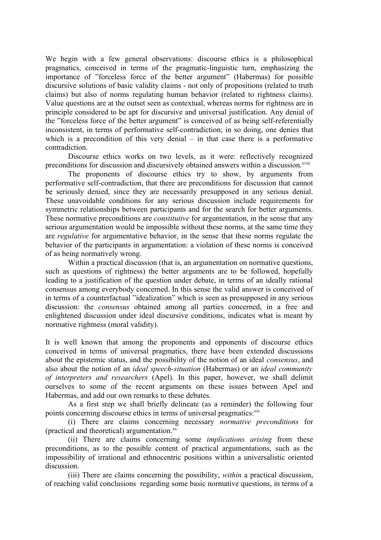We begin with a few general observations: discourse ethics is a philosophical pragmatics, conceived in terms of the pragmatic-linguistic turn, emphasizing the importance of "forceless force of the better argument" (Habermas) for possible discursive solutions of basic validity claims - not only of propositions (related to truth claims) but also of norms regulating human behavior (related to rightness claims). Value questions are at the outset seen as contextual, whereas norms for rightness are in principle considered to be apt for discursive and universal justification. Any denial of the "forceless force of the better argument" is conceived of as being self-referentially inconsistent, in terms of performative self-contradiction; in so doing, one denies that which is a precondition of this very denial  $-$  in that case there is a performative contradiction.

Discourse ethics works on two levels, as it were: reflectively recognized preconditions for discussion and discursively obtained answers within a discussion.<sup>[xviii](#page-16-17)</sup>

The proponents of discourse ethics try to show, by arguments from performative self-contradiction, that there are preconditions for discussion that cannot be seriously denied, since they are necessarily presupposed in any serious denial. These unavoidable conditions for any serious discussion include requirements for symmetric relationships between participants and for the search for better arguments. These normative preconditions are *constitutive* for argumentation, in the sense that any serious argumentation would be impossible without these norms, at the same time they are *regulative* for argumentative behavior, in the sense that these norms regulate the behavior of the participants in argumentation: a violation of these norms is conceived of as being normatively wrong.

Within a practical discussion (that is, an argumentation on normative questions, such as questions of rightness) the better arguments are to be followed, hopefully leading to a justification of the question under debate, in terms of an ideally rational consensus among everybody concerned. In this sense the valid answer is conceived of in terms of a counterfactual "idealization" which is seen as presupposed in any serious discussion: the *consensus* obtained among all parties concerned, in a free and enlightened discussion under ideal discursive conditions, indicates what is meant by normative rightness (moral validity).

It is well known that among the proponents and opponents of discourse ethics conceived in terms of universal pragmatics, there have been extended discussions about the epistemic status, and the possibility of the notion of an ideal *consensus*, and also about the notion of an *ideal speech-situation* (Habermas) or an *ideal community of interpreters and researchers* (Apel). In this paper, however, we shall delimit ourselves to some of the recent arguments on these issues between Apel and Habermas, and add our own remarks to these debates.

As a first step we shall briefly delineate (as a reminder) the following four points concerning discourse ethics in terms of universal pragmatics: [xix](#page-16-18)

(i) There are claims concerning necessary *normative preconditions* for (practical and theoretical) argumentation. $\frac{xx}{x}$  $\frac{xx}{x}$  $\frac{xx}{x}$ 

(ii) There are claims concerning some *implications arising* from these preconditions, as to the possible content of practical argumentations, such as the impossibility of irrational and ethnocentric positions within a universalistic oriented discussion.

(iii) There are claims concerning the possibility, *within* a practical discussion, of reaching valid conclusions regarding some basic normative questions, in terms of a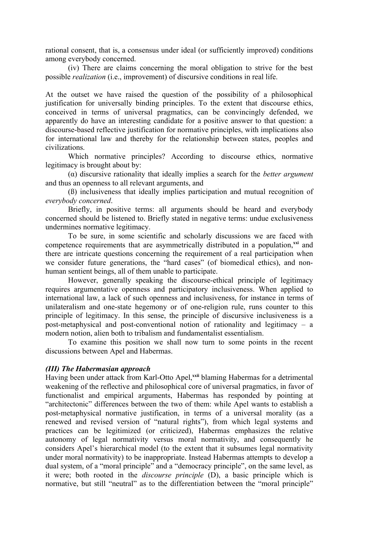rational consent, that is, a consensus under ideal (or sufficiently improved) conditions among everybody concerned.

(iv) There are claims concerning the moral obligation to strive for the best possible *realization* (i.e., improvement) of discursive conditions in real life.

At the outset we have raised the question of the possibility of a philosophical justification for universally binding principles. To the extent that discourse ethics, conceived in terms of universal pragmatics, can be convincingly defended, we apparently do have an interesting candidate for a positive answer to that question: a discourse-based reflective justification for normative principles, with implications also for international law and thereby for the relationship between states, peoples and civilizations.

Which normative principles? According to discourse ethics, normative legitimacy is brought about by:

(α) discursive rationality that ideally implies a search for the *better argument* and thus an openness to all relevant arguments, and

(ß) inclusiveness that ideally implies participation and mutual recognition of *everybody concerned*.

Briefly, in positive terms: all arguments should be heard and everybody concerned should be listened to. Briefly stated in negative terms: undue exclusiveness undermines normative legitimacy.

To be sure, in some scientific and scholarly discussions we are faced with competence requirements that are asymmetrically distributed in a population,<sup>[xxi](#page-16-20)</sup> and there are intricate questions concerning the requirement of a real participation when we consider future generations, the "hard cases" (of biomedical ethics), and nonhuman sentient beings, all of them unable to participate.

However, generally speaking the discourse-ethical principle of legitimacy requires argumentative openness and participatory inclusiveness. When applied to international law, a lack of such openness and inclusiveness, for instance in terms of unilateralism and one-state hegemony or of one-religion rule, runs counter to this principle of legitimacy. In this sense, the principle of discursive inclusiveness is a post-metaphysical and post-conventional notion of rationality and legitimacy – a modern notion, alien both to tribalism and fundamentalist essentialism.

To examine this position we shall now turn to some points in the recent discussions between Apel and Habermas.

### *(III) The Habermasian approach*

Having been under attack from Karl-Otto Apel,<sup>[xxii](#page-16-21)</sup> blaming Habermas for a detrimental weakening of the reflective and philosophical core of universal pragmatics, in favor of functionalist and empirical arguments, Habermas has responded by pointing at "architectonic" differences between the two of them: while Apel wants to establish a post-metaphysical normative justification, in terms of a universal morality (as a renewed and revised version of "natural rights"), from which legal systems and practices can be legitimized (or criticized), Habermas emphasizes the relative autonomy of legal normativity versus moral normativity, and consequently he considers Apel's hierarchical model (to the extent that it subsumes legal normativity under moral normativity) to be inappropriate. Instead Habermas attempts to develop a dual system, of a "moral principle" and a "democracy principle", on the same level, as it were; both rooted in the *discourse principle* (D), a basic principle which is normative, but still "neutral" as to the differentiation between the "moral principle"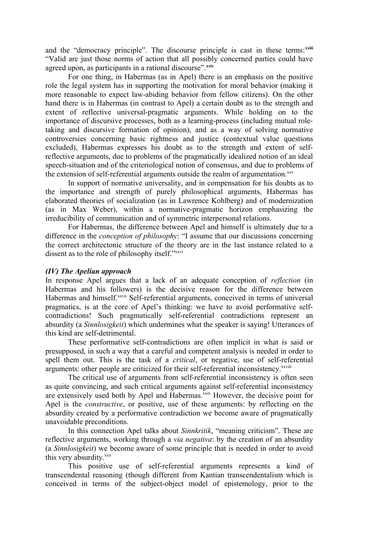and the "democracy principle". The discourse principle is cast in these terms:<sup>[xxiii](#page-16-22)</sup> "Valid are just those norms of action that all possibly concerned parties could have agreed upon, as participants in a rational discourse".<sup>[xxiv](#page-16-23)</sup>

For one thing, in Habermas (as in Apel) there is an emphasis on the positive role the legal system has in supporting the motivation for moral behavior (making it more reasonable to expect law-abiding behavior from fellow citizens). On the other hand there is in Habermas (in contrast to Apel) a certain doubt as to the strength and extent of reflective universal-pragmatic arguments. While holding on to the importance of discursive processes, both as a learning-process (including mutual roletaking and discursive formation of opinion), and as a way of solving normative controversies concerning basic rightness and justice (contextual value questions excluded), Habermas expresses his doubt as to the strength and extent of selfreflective arguments, due to problems of the pragmatically idealized notion of an ideal speech-situation and of the criteriological notion of consensus, and due to problems of the extension of self-referential arguments outside the realm of argumentation.<sup>[xxv](#page-16-24)</sup>

In support of normative universality, and in compensation for his doubts as to the importance and strength of purely philosophical arguments, Habermas has elaborated theories of socialization (as in Lawrence Kohlberg) and of modernization (as in Max Weber), within a normative-pragmatic horizon emphasizing the irreducibility of communication and of symmetric interpersonal relations.

For Habermas, the difference between Apel and himself is ultimately due to a difference in the *conception of philosophy*: "I assume that our discussions concerning the correct architectonic structure of the theory are in the last instance related to a dissent as to the role of philosophy itself."[xxvi](#page-16-25)

### *(IV) The Apelian approach*

In response Apel argues that a lack of an adequate conception of *reflection* (in Habermas and his followers) is the decisive reason for the difference between Habermas and himself.<sup>[xxvii](#page-16-26)</sup> Self-referential arguments, conceived in terms of universal pragmatics, is at the core of Apel's thinking: we have to avoid performative selfcontradictions! Such pragmatically self-referential contradictions represent an absurdity (a *Sinnlosigkeit*) which undermines what the speaker is saying! Utterances of this kind are self-detrimental.

These performative self-contradictions are often implicit in what is said or presupposed, in such a way that a careful and competent analysis is needed in order to spell them out. This is the task of a *critical*, or negative, use of self-referential arguments: other people are criticized for their self-referential inconsistency.<sup>[xxviii](#page-16-27)</sup>

The critical use of arguments from self-referential inconsistency is often seen as quite convincing, and such critical arguments against self-referential inconsistency are extensively used both by Apel and Habermas.<sup>[xxix](#page-17-0)</sup> However, the decisive point for Apel is the *constructive*, or positive, use of these arguments: by reflecting on the absurdity created by a performative contradiction we become aware of pragmatically unavoidable preconditions.

In this connection Apel talks about *Sinnkritik*, "meaning criticism". These are reflective arguments, working through a *via negativa*: by the creation of an absurdity (a *Sinnlosigkeit*) we become aware of some principle that is needed in order to avoid this very absurdity.<sup>[xxx](#page-17-1)</sup>

This positive use of self-referential arguments represents a kind of transcendental reasoning (though different from Kantian transcendentalism which is conceived in terms of the subject-object model of epistemology, prior to the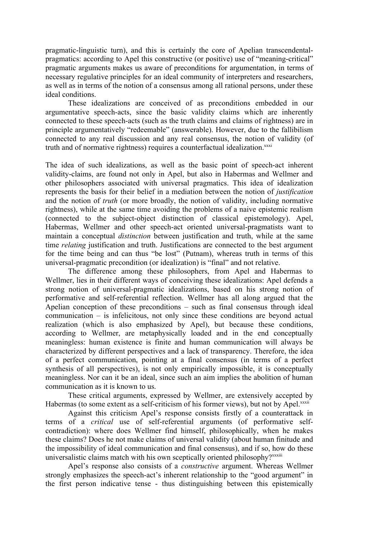pragmatic-linguistic turn), and this is certainly the core of Apelian transcendentalpragmatics: according to Apel this constructive (or positive) use of "meaning-critical" pragmatic arguments makes us aware of preconditions for argumentation, in terms of necessary regulative principles for an ideal community of interpreters and researchers, as well as in terms of the notion of a consensus among all rational persons, under these ideal conditions.

These idealizations are conceived of as preconditions embedded in our argumentative speech-acts, since the basic validity claims which are inherently connected to these speech-acts (such as the truth claims and claims of rightness) are in principle argumentatively "redeemable" (answerable). However, due to the fallibilism connected to any real discussion and any real consensus, the notion of validity (of truth and of normative rightness) requires a counterfactual idealization.<sup>[xxxi](#page-17-2)</sup>

The idea of such idealizations, as well as the basic point of speech-act inherent validity-claims, are found not only in Apel, but also in Habermas and Wellmer and other philosophers associated with universal pragmatics. This idea of idealization represents the basis for their belief in a mediation between the notion of *justification* and the notion of *truth* (or more broadly, the notion of validity, including normative rightness), while at the same time avoiding the problems of a naive epistemic realism (connected to the subject-object distinction of classical epistemology). Apel, Habermas, Wellmer and other speech-act oriented universal-pragmatists want to maintain a conceptual *distinction* between justification and truth, while at the same time *relating* justification and truth. Justifications are connected to the best argument for the time being and can thus "be lost" (Putnam), whereas truth in terms of this universal-pragmatic precondition (or idealization) is "final" and not relative.

The difference among these philosophers, from Apel and Habermas to Wellmer, lies in their different ways of conceiving these idealizations: Apel defends a strong notion of universal-pragmatic idealizations, based on his strong notion of performative and self-referential reflection. Wellmer has all along argued that the Apelian conception of these preconditions – such as final consensus through ideal communication – is infelicitous, not only since these conditions are beyond actual realization (which is also emphasized by Apel), but because these conditions, according to Wellmer, are metaphysically loaded and in the end conceptually meaningless: human existence is finite and human communication will always be characterized by different perspectives and a lack of transparency. Therefore, the idea of a perfect communication, pointing at a final consensus (in terms of a perfect synthesis of all perspectives), is not only empirically impossible, it is conceptually meaningless. Nor can it be an ideal, since such an aim implies the abolition of human communication as it is known to us.

These critical arguments, expressed by Wellmer, are extensively accepted by Habermas (to some extent as a self-criticism of his former views), but not by Apel.<sup>[xxxii](#page-17-3)</sup>

Against this criticism Apel's response consists firstly of a counterattack in terms of a *critical* use of self-referential arguments (of performative selfcontradiction): where does Wellmer find himself, philosophically, when he makes these claims? Does he not make claims of universal validity (about human finitude and the impossibility of ideal communication and final consensus), and if so, how do these universalistic claims match with his own sceptically oriented philosophy?[xxxiii](#page-17-4)

Apel's response also consists of a *constructive* argument. Whereas Wellmer strongly emphasizes the speech-act's inherent relationship to the "good argument" in the first person indicative tense - thus distinguishing between this epistemically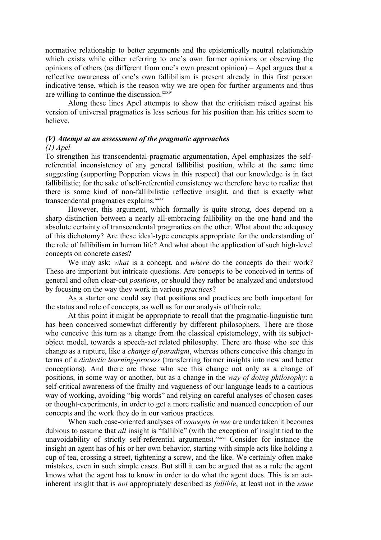normative relationship to better arguments and the epistemically neutral relationship which exists while either referring to one's own former opinions or observing the opinions of others (as different from one's own present opinion) – Apel argues that a reflective awareness of one's own fallibilism is present already in this first person indicative tense, which is the reason why we are open for further arguments and thus are willing to continue the discussion.<sup>[xxxiv](#page-17-5)</sup>

Along these lines Apel attempts to show that the criticism raised against his version of universal pragmatics is less serious for his position than his critics seem to believe.

## *(V) Attempt at an assessment of the pragmatic approaches*

## *(1) Apel*

To strengthen his transcendental-pragmatic argumentation, Apel emphasizes the selfreferential inconsistency of any general fallibilist position, while at the same time suggesting (supporting Popperian views in this respect) that our knowledge is in fact fallibilistic; for the sake of self-referential consistency we therefore have to realize that there is some kind of non-fallibilistic reflective insight, and that is exactly what transcendental pragmatics explains.<sup>[xxxv](#page-17-6)</sup>

However, this argument, which formally is quite strong, does depend on a sharp distinction between a nearly all-embracing fallibility on the one hand and the absolute certainty of transcendental pragmatics on the other. What about the adequacy of this dichotomy? Are these ideal-type concepts appropriate for the understanding of the role of fallibilism in human life? And what about the application of such high-level concepts on concrete cases?

We may ask: *what* is a concept, and *where* do the concepts do their work? These are important but intricate questions. Are concepts to be conceived in terms of general and often clear-cut *positions*, or should they rather be analyzed and understood by focusing on the way they work in various *practices*?

As a starter one could say that positions and practices are both important for the status and role of concepts, as well as for our analysis of their role.

At this point it might be appropriate to recall that the pragmatic-linguistic turn has been conceived somewhat differently by different philosophers. There are those who conceive this turn as a change from the classical epistemology, with its subjectobject model, towards a speech-act related philosophy. There are those who see this change as a rupture, like a *change of paradigm*, whereas others conceive this change in terms of a *dialectic learning-process* (transferring former insights into new and better conceptions). And there are those who see this change not only as a change of positions, in some way or another, but as a change in the *way of doing philosophy*: a self-critical awareness of the frailty and vagueness of our language leads to a cautious way of working, avoiding "big words" and relying on careful analyses of chosen cases or thought-experiments, in order to get a more realistic and nuanced conception of our concepts and the work they do in our various practices.

When such case-oriented analyses of *concepts in use* are undertaken it becomes dubious to assume that *all* insight is "fallible" (with the exception of insight tied to the unavoidability of strictly self-referential arguments).<sup>[xxxvi](#page-17-7)</sup> Consider for instance the insight an agent has of his or her own behavior, starting with simple acts like holding a cup of tea, crossing a street, tightening a screw, and the like. We certainly often make mistakes, even in such simple cases. But still it can be argued that as a rule the agent knows what the agent has to know in order to do what the agent does. This is an actinherent insight that is *not* appropriately described as *fallible*, at least not in the *same*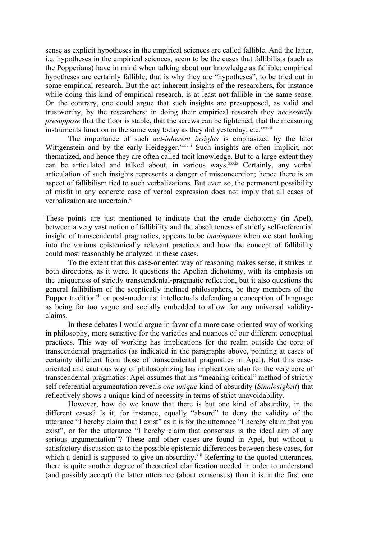sense as explicit hypotheses in the empirical sciences are called fallible. And the latter, i.e. hypotheses in the empirical sciences, seem to be the cases that fallibilists (such as the Popperians) have in mind when talking about our knowledge as fallible: empirical hypotheses are certainly fallible; that is why they are "hypotheses", to be tried out in some empirical research. But the act-inherent insights of the researchers, for instance while doing this kind of empirical research, is at least not fallible in the same sense. On the contrary, one could argue that such insights are presupposed, as valid and trustworthy, by the researchers: in doing their empirical research they *necessarily presuppose* that the floor is stable, that the screws can be tightened, that the measuring instruments function in the same way today as they did yesterday, etc.<sup>[xxxvii](#page-17-8)</sup>

The importance of such *act-inherent insights* is emphasized by the later Wittgenstein and by the early Heidegger.<sup>[xxxviii](#page-17-9)</sup> Such insights are often implicit, not thematized, and hence they are often called tacit knowledge. But to a large extent they can be articulated and talked about, in various ways.<sup>[xxxix](#page-17-10)</sup> Certainly, any verbal articulation of such insights represents a danger of misconception; hence there is an aspect of fallibilism tied to such verbalizations. But even so, the permanent possibility of misfit in any concrete case of verbal expression does not imply that all cases of verbalization are uncertain $x<sup>1</sup>$ .

These points are just mentioned to indicate that the crude dichotomy (in Apel), between a very vast notion of fallibility and the absoluteness of strictly self-referential insight of transcendental pragmatics, appears to be *inadequate* when we start looking into the various epistemically relevant practices and how the concept of fallibility could most reasonably be analyzed in these cases.

To the extent that this case-oriented way of reasoning makes sense, it strikes in both directions, as it were. It questions the Apelian dichotomy, with its emphasis on the uniqueness of strictly transcendental-pragmatic reflection, but it also questions the general fallibilism of the sceptically inclined philosophers, be they members of the Popper tradition<sup>[xli](#page-17-12)</sup> or post-modernist intellectuals defending a conception of language as being far too vague and socially embedded to allow for any universal validityclaims.

In these debates I would argue in favor of a more case-oriented way of working in philosophy, more sensitive for the varieties and nuances of our different conceptual practices. This way of working has implications for the realm outside the core of transcendental pragmatics (as indicated in the paragraphs above, pointing at cases of certainty different from those of transcendental pragmatics in Apel). But this caseoriented and cautious way of philosophizing has implications also for the very core of transcendental-pragmatics: Apel assumes that his "meaning-critical" method of strictly self-referential argumentation reveals *one unique* kind of absurdity (*Sinnlosigkeit*) that reflectively shows a unique kind of necessity in terms of strict unavoidability.

However, how do we know that there is but one kind of absurdity, in the different cases? Is it, for instance, equally "absurd" to deny the validity of the utterance "I hereby claim that I exist" as it is for the utterance "I hereby claim that you exist", or for the utterance "I hereby claim that consensus is the ideal aim of any serious argumentation"? These and other cases are found in Apel, but without a satisfactory discussion as to the possible epistemic differences between these cases, for which a denial is supposed to give an absurdity.<sup>[xlii](#page-17-13)</sup> Referring to the quoted utterances, there is quite another degree of theoretical clarification needed in order to understand (and possibly accept) the latter utterance (about consensus) than it is in the first one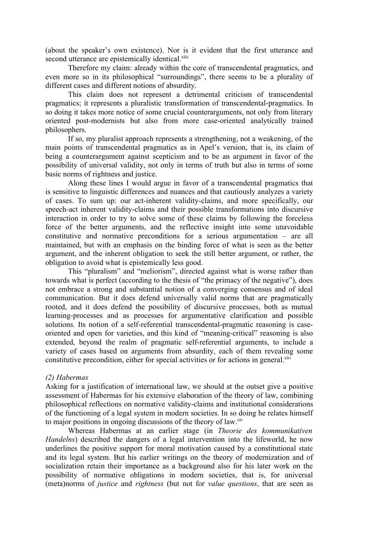(about the speaker's own existence). Nor is it evident that the first utterance and second utterance are epistemically identical.<sup>[xliii](#page-18-0)</sup>

Therefore my claim: already within the core of transcendental pragmatics, and even more so in its philosophical "surroundings", there seems to be a plurality of different cases and different notions of absurdity.

This claim does not represent a detrimental criticism of transcendental pragmatics; it represents a pluralistic transformation of transcendental-pragmatics. In so doing it takes more notice of some crucial counterarguments, not only from literary oriented post-modernists but also from more case-oriented analytically trained philosophers.

If so, my pluralist approach represents a strengthening, not a weakening, of the main points of transcendental pragmatics as in Apel's version, that is, its claim of being a counterargument against scepticism and to be an argument in favor of the possibility of universal validity, not only in terms of truth but also in terms of some basic norms of rightness and justice*.* 

Along these lines I would argue in favor of a transcendental pragmatics that is sensitive to linguistic differences and nuances and that cautiously analyzes a variety of cases. To sum up: our act-inherent validity-claims, and more specifically, our speech-act inherent validity-claims and their possible transformations into discursive interaction in order to try to solve some of these claims by following the forceless force of the better arguments, and the reflective insight into some unavoidable constitutive and normative preconditions for a serious argumentation – are all maintained, but with an emphasis on the binding force of what is seen as the better argument, and the inherent obligation to seek the still better argument, or rather, the obligation to avoid what is epistemically less good.

This "pluralism" and "meliorism", directed against what is worse rather than towards what is perfect (according to the thesis of "the primacy of the negative"), does not embrace a strong and substantial notion of a converging consensus and of ideal communication. But it does defend universally valid norms that are pragmatically rooted, and it does defend the possibility of discursive processes, both as mutual learning-processes and as processes for argumentative clarification and possible solutions. Its notion of a self-referential transcendental-pragmatic reasoning is caseoriented and open for varieties, and this kind of "meaning-critical" reasoning is also extended, beyond the realm of pragmatic self-referential arguments, to include a variety of cases based on arguments from absurdity, each of them revealing some constitutive precondition, either for special activities or for actions in general.<sup>[xliv](#page-18-1)</sup>

### *(2) Habermas*

Asking for a justification of international law, we should at the outset give a positive assessment of Habermas for his extensive elaboration of the theory of law, combining philosophical reflections on normative validity-claims and institutional considerations of the functioning of a legal system in modern societies. In so doing he relates himself to major positions in ongoing discussions of the theory of law.<sup>[xlv](#page-18-2)</sup>

Whereas Habermas at an earlier stage (in *Theorie des kommunikativen Handelns*) described the dangers of a legal intervention into the lifeworld, he now underlines the positive support for moral motivation caused by a constitutional state and its legal system. But his earlier writings on the theory of modernization and of socialization retain their importance as a background also for his later work on the possibility of normative obligations in modern societies, that is, for universal (meta)norms of *justice* and *rightness* (but not for *value questions*, that are seen as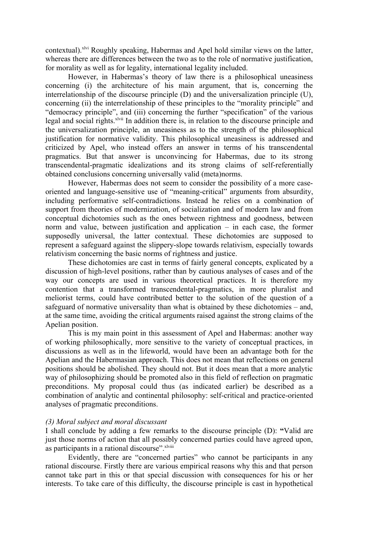contextual).<sup>[xlvi](#page-18-3)</sup> Roughly speaking, Habermas and Apel hold similar views on the latter, whereas there are differences between the two as to the role of normative justification, for morality as well as for legality, international legality included.

However, in Habermas's theory of law there is a philosophical uneasiness concerning (i) the architecture of his main argument, that is, concerning the interrelationship of the discourse principle (D) and the universalization principle (U), concerning (ii) the interrelationship of these principles to the "morality principle" and "democracy principle", and (iii) concerning the further "specification" of the various legal and social rights. *[xlvii](#page-18-4)* In addition there is, in relation to the discourse principle and the universalization principle, an uneasiness as to the strength of the philosophical justification for normative validity. This philosophical uneasiness is addressed and criticized by Apel, who instead offers an answer in terms of his transcendental pragmatics. But that answer is unconvincing for Habermas, due to its strong transcendental-pragmatic idealizations and its strong claims of self-referentially obtained conclusions concerning universally valid (meta)norms.

However, Habermas does not seem to consider the possibility of a more caseoriented and language-sensitive use of "meaning-critical" arguments from absurdity, including performative self-contradictions. Instead he relies on a combination of support from theories of modernization, of socialization and of modern law and from conceptual dichotomies such as the ones between rightness and goodness, between norm and value, between justification and application – in each case, the former supposedly universal, the latter contextual. These dichotomies are supposed to represent a safeguard against the slippery-slope towards relativism, especially towards relativism concerning the basic norms of rightness and justice.

These dichotomies are cast in terms of fairly general concepts, explicated by a discussion of high-level positions, rather than by cautious analyses of cases and of the way our concepts are used in various theoretical practices. It is therefore my contention that a transformed transcendental-pragmatics, in more pluralist and meliorist terms, could have contributed better to the solution of the question of a safeguard of normative universality than what is obtained by these dichotomies – and, at the same time, avoiding the critical arguments raised against the strong claims of the Apelian position.

This is my main point in this assessment of Apel and Habermas: another way of working philosophically, more sensitive to the variety of conceptual practices, in discussions as well as in the lifeworld, would have been an advantage both for the Apelian and the Habermasian approach. This does not mean that reflections on general positions should be abolished. They should not. But it does mean that a more analytic way of philosophizing should be promoted also in this field of reflection on pragmatic preconditions. My proposal could thus (as indicated earlier) be described as a combination of analytic and continental philosophy: self-critical and practice-oriented analyses of pragmatic preconditions.

### *(3) Moral subject and moral discussant*

I shall conclude by adding a few remarks to the discourse principle (D): **"**Valid are just those norms of action that all possibly concerned parties could have agreed upon, as participants in a rational discourse". [xlviii](#page-18-5)

Evidently, there are "concerned parties" who cannot be participants in any rational discourse. Firstly there are various empirical reasons why this and that person cannot take part in this or that special discussion with consequences for his or her interests. To take care of this difficulty, the discourse principle is cast in hypothetical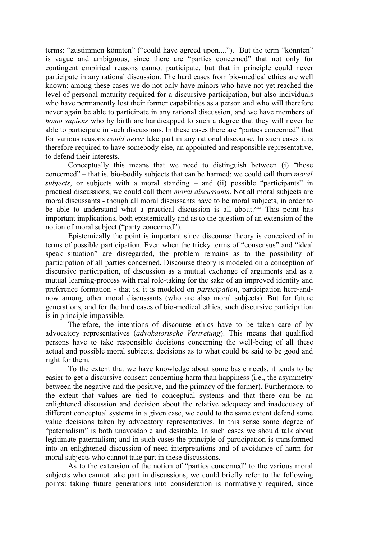terms: "zustimmen könnten" ("could have agreed upon...."). But the term "könnten" is vague and ambiguous, since there are "parties concerned" that not only for contingent empirical reasons cannot participate, but that in principle could never participate in any rational discussion. The hard cases from bio-medical ethics are well known: among these cases we do not only have minors who have not yet reached the level of personal maturity required for a discursive participation, but also individuals who have permanently lost their former capabilities as a person and who will therefore never again be able to participate in any rational discussion, and we have members of *homo sapiens* who by birth are handicapped to such a degree that they will never be able to participate in such discussions. In these cases there are "parties concerned" that for various reasons *could never* take part in any rational discourse. In such cases it is therefore required to have somebody else, an appointed and responsible representative, to defend their interests.

Conceptually this means that we need to distinguish between (i) "those concerned" – that is, bio-bodily subjects that can be harmed; we could call them *moral subjects*, or subjects with a moral standing – and (ii) possible "participants" in practical discussions; we could call them *moral discussants*. Not all moral subjects are moral discussants - though all moral discussants have to be moral subjects, in order to be able to understand what a practical discussion is all about.<sup>[xlix](#page-18-6)</sup> This point has important implications, both epistemically and as to the question of an extension of the notion of moral subject ("party concerned").

Epistemically the point is important since discourse theory is conceived of in terms of possible participation. Even when the tricky terms of "consensus" and "ideal speak situation" are disregarded, the problem remains as to the possibility of participation of all parties concerned. Discourse theory is modeled on a conception of discursive participation, of discussion as a mutual exchange of arguments and as a mutual learning-process with real role-taking for the sake of an improved identity and preference formation - that is, it is modeled on *participation*, participation here-andnow among other moral discussants (who are also moral subjects). But for future generations, and for the hard cases of bio-medical ethics, such discursive participation is in principle impossible.

Therefore, the intentions of discourse ethics have to be taken care of by advocatory representatives (*advokatorische Vertretung*). This means that qualified persons have to take responsible decisions concerning the well-being of all these actual and possible moral subjects, decisions as to what could be said to be good and right for them.

To the extent that we have knowledge about some basic needs, it tends to be easier to get a discursive consent concerning harm than happiness (i.e., the asymmetry between the negative and the positive, and the primacy of the former). Furthermore, to the extent that values are tied to conceptual systems and that there can be an enlightened discussion and decision about the relative adequacy and inadequacy of different conceptual systems in a given case, we could to the same extent defend some value decisions taken by advocatory representatives. In this sense some degree of "paternalism" is both unavoidable and desirable. In such cases we should talk about legitimate paternalism; and in such cases the principle of participation is transformed into an enlightened discussion of need interpretations and of avoidance of harm for moral subjects who cannot take part in these discussions.

As to the extension of the notion of "parties concerned" to the various moral subjects who cannot take part in discussions, we could briefly refer to the following points: taking future generations into consideration is normatively required, since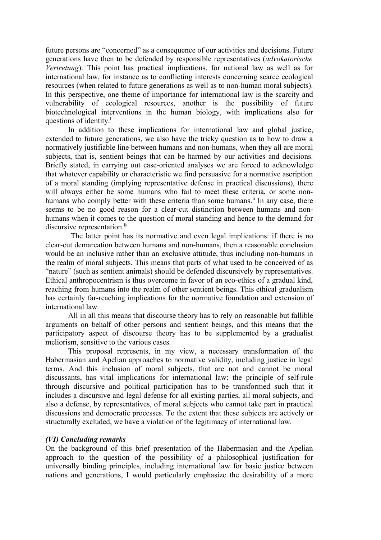future persons are "concerned" as a consequence of our activities and decisions. Future generations have then to be defended by responsible representatives (*advokatorische Vertretung*). This point has practical implications, for national law as well as for international law, for instance as to conflicting interests concerning scarce ecological resources (when related to future generations as well as to non-human moral subjects). In this perspective, one theme of importance for international law is the scarcity and vulnerability of ecological resources, another is the possibility of future biotechnological interventions in the human biology, with implications also for questions of identity. $\frac{1}{2}$ 

In addition to these implications for international law and global justice, extended to future generations, we also have the tricky question as to how to draw a normatively justifiable line between humans and non-humans, when they all are moral subjects, that is, sentient beings that can be harmed by our activities and decisions. Briefly stated, in carrying out case-oriented analyses we are forced to acknowledge that whatever capability or characteristic we find persuasive for a normative ascription of a moral standing (implying representative defense in practical discussions), there will always either be some humans who fail to meet these criteria, or some nonhumans who comply better with these criteria than some humans.<sup>Ii</sup> In any case, there seems to be no good reason for a clear-cut distinction between humans and nonhumans when it comes to the question of moral standing and hence to the demand for discursive representation.<sup>[lii](#page-18-9)</sup>

The latter point has its normative and even legal implications: if there is no clear-cut demarcation between humans and non-humans, then a reasonable conclusion would be an inclusive rather than an exclusive attitude, thus including non-humans in the realm of moral subjects. This means that parts of what used to be conceived of as "nature" (such as sentient animals) should be defended discursively by representatives. Ethical anthropocentrism is thus overcome in favor of an eco-ethics of a gradual kind, reaching from humans into the realm of other sentient beings. This ethical gradualism has certainly far-reaching implications for the normative foundation and extension of international law.

All in all this means that discourse theory has to rely on reasonable but fallible arguments on behalf of other persons and sentient beings, and this means that the participatory aspect of discourse theory has to be supplemented by a gradualist meliorism, sensitive to the various cases.

This proposal represents, in my view, a necessary transformation of the Habermasian and Apelian approaches to normative validity, including justice in legal terms. And this inclusion of moral subjects, that are not and cannot be moral discussants, has vital implications for international law: the principle of self-rule through discursive and political participation has to be transformed such that it includes a discursive and legal defense for all existing parties, all moral subjects, and also a defense, by representatives, of moral subjects who cannot take part in practical discussions and democratic processes. To the extent that these subjects are actively or structurally excluded, we have a violation of the legitimacy of international law.

### *(VI) Concluding remarks*

On the background of this brief presentation of the Habermasian and the Apelian approach to the question of the possibility of a philosophical justification for universally binding principles, including international law for basic justice between nations and generations, I would particularly emphasize the desirability of a more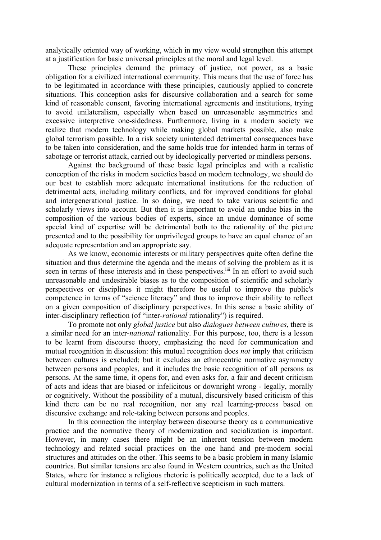analytically oriented way of working, which in my view would strengthen this attempt at a justification for basic universal principles at the moral and legal level.

These principles demand the primacy of justice, not power, as a basic obligation for a civilized international community. This means that the use of force has to be legitimated in accordance with these principles, cautiously applied to concrete situations. This conception asks for discursive collaboration and a search for some kind of reasonable consent, favoring international agreements and institutions, trying to avoid unilateralism, especially when based on unreasonable asymmetries and excessive interpretive one-sidedness. Furthermore, living in a modern society we realize that modern technology while making global markets possible, also make global terrorism possible. In a risk society unintended detrimental consequences have to be taken into consideration, and the same holds true for intended harm in terms of sabotage or terrorist attack, carried out by ideologically perverted or mindless persons.

Against the background of these basic legal principles and with a realistic conception of the risks in modern societies based on modern technology, we should do our best to establish more adequate international institutions for the reduction of detrimental acts, including military conflicts, and for improved conditions for global and intergenerational justice. In so doing, we need to take various scientific and scholarly views into account. But then it is important to avoid an undue bias in the composition of the various bodies of experts, since an undue dominance of some special kind of expertise will be detrimental both to the rationality of the picture presented and to the possibility for unprivileged groups to have an equal chance of an adequate representation and an appropriate say.

As we know, economic interests or military perspectives quite often define the situation and thus determine the agenda and the means of solving the problem as it is seen in terms of these interests and in these perspectives.<sup>[liii](#page-18-10)</sup> In an effort to avoid such unreasonable and undesirable biases as to the composition of scientific and scholarly perspectives or disciplines it might therefore be useful to improve the public's competence in terms of "science literacy" and thus to improve their ability to reflect on a given composition of disciplinary perspectives. In this sense a basic ability of inter-disciplinary reflection (of "inter-*rational* rationality") is required.

To promote not only *global justice* but also *dialogues between cultures*, there is a similar need for an inter-*national* rationality. For this purpose, too, there is a lesson to be learnt from discourse theory, emphasizing the need for communication and mutual recognition in discussion: this mutual recognition does *not* imply that criticism between cultures is excluded; but it excludes an ethnocentric normative asymmetry between persons and peoples, and it includes the basic recognition of all persons as persons. At the same time, it opens for, and even asks for, a fair and decent criticism of acts and ideas that are biased or infelicitous or downright wrong - legally, morally or cognitively. Without the possibility of a mutual, discursively based criticism of this kind there can be no real recognition, nor any real learning-process based on discursive exchange and role-taking between persons and peoples.

In this connection the interplay between discourse theory as a communicative practice and the normative theory of modernization and socialization is important. However, in many cases there might be an inherent tension between modern technology and related social practices on the one hand and pre-modern social structures and attitudes on the other. This seems to be a basic problem in many Islamic countries. But similar tensions are also found in Western countries, such as the United States, where for instance a religious rhetoric is politically accepted, due to a lack of cultural modernization in terms of a self-reflective scepticism in such matters.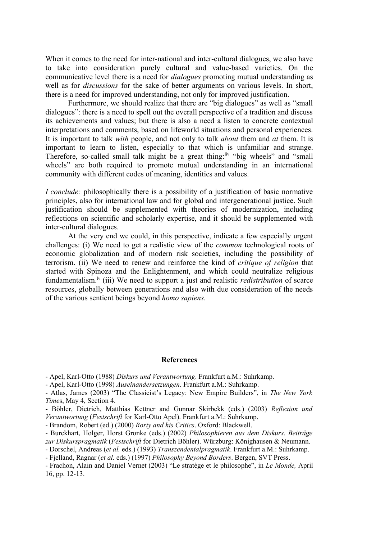When it comes to the need for inter-national and inter-cultural dialogues, we also have to take into consideration purely cultural and value-based varieties. On the communicative level there is a need for *dialogues* promoting mutual understanding as well as for *discussions* for the sake of better arguments on various levels. In short, there is a need for improved understanding, not only for improved justification.

Furthermore, we should realize that there are "big dialogues" as well as "small dialogues": there is a need to spell out the overall perspective of a tradition and discuss its achievements and values; but there is also a need a listen to concrete contextual interpretations and comments, based on lifeworld situations and personal experiences. It is important to talk *with* people, and not only to talk *about* them and *at* them. It is important to learn to listen, especially to that which is unfamiliar and strange. Therefore, so-called small talk might be a great thing.<sup>[liv](#page-18-11)</sup> "big wheels" and "small wheels" are both required to promote mutual understanding in an international community with different codes of meaning, identities and values.

*I conclude:* philosophically there is a possibility of a justification of basic normative principles, also for international law and for global and intergenerational justice. Such justification should be supplemented with theories of modernization, including reflections on scientific and scholarly expertise, and it should be supplemented with inter-cultural dialogues.

At the very end we could, in this perspective, indicate a few especially urgent challenges: (i) We need to get a realistic view of the *common* technological roots of economic globalization and of modern risk societies, including the possibility of terrorism. (ii) We need to renew and reinforce the kind of *critique of religion* that started with Spinoza and the Enlightenment, and which could neutralize religious fundamentalism.<sup>Iv</sup> (iii) We need to support a just and realistic *redistribution* of scarce resources, globally between generations and also with due consideration of the needs of the various sentient beings beyond *homo sapiens*.

#### **References**

- Apel, Karl-Otto (1988) *Diskurs und Verantwortung*. Frankfurt a.M.: Suhrkamp.

- Apel, Karl-Otto (1998) *Auseinandersetzungen*. Frankfurt a.M.: Suhrkamp.

- Atlas, James (2003) "The Classicist's Legacy: New Empire Builders", in *The New York Time*s, May 4, Section 4.

- Böhler, Dietrich, Matthias Kettner and Gunnar Skirbekk (eds.) (2003) *Reflexion und Verantwortung* (*Festschrift* for Karl-Otto Apel). Frankfurt a.M.: Suhrkamp.

- Brandom, Robert (ed.) (2000) *Rorty and his Critics*. Oxford: Blackwell.

- Burckhart, Holger, Horst Gronke (eds.) (2002) *Philosophieren aus dem Diskurs. Beiträge zur Diskurspragmatik* (*Festschrift* for Dietrich Böhler). Würzburg: Könighausen & Neumann.

- Dorschel, Andreas (*et al.* eds.) (1993) *Transzendentalpragmatik*. Frankfurt a.M.: Suhrkamp.

- Fjelland, Ragnar (*et al.* eds.) (1997) *Philosophy Beyond Borders*. Bergen, SVT Press.

- Frachon, Alain and Daniel Vernet (2003) "Le stratège et le philosophe", in *Le Monde,* April 16, pp. 12-13.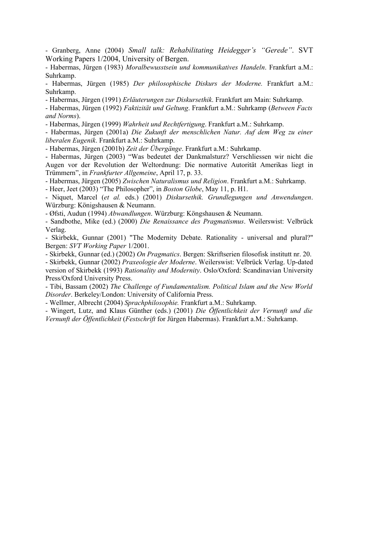- Granberg, Anne (2004) *Small talk: Rehabilitating Heidegger's "Gerede"*. SVT Working Papers 1/2004, University of Bergen.

- Habermas, Jürgen (1983) *Moralbewusstsein und kommunikatives Handeln*. Frankfurt a.M.: Suhrkamp.

- Habermas, Jürgen (1985) *Der philosophische Diskurs der Moderne.* Frankfurt a.M.: Suhrkamp.

- Habermas, Jürgen (1991) *Erläuterungen zur Diskursethik*. Frankfurt am Main: Suhrkamp.

- Habermas, Jürgen (1992) *Faktizität und Geltung*. Frankfurt a.M.: Suhrkamp (*Between Facts and Norms*).

- Habermas, Jürgen (1999) *Wahrheit und Rechtfertigung*. Frankfurt a.M.: Suhrkamp.

- Habermas, Jürgen (2001a) *Die Zukunft der menschlichen Natur. Auf dem Weg zu einer liberalen Eugenik*. Frankfurt a.M.: Suhrkamp.

- Habermas, Jürgen (2001b) *Zeit der Übergänge*. Frankfurt a.M.: Suhrkamp.

- Habermas, Jürgen (2003) "Was bedeutet der Dankmalsturz? Verschliessen wir nicht die Augen vor der Revolution der Weltordnung: Die normative Autorität Amerikas liegt in Trümmern", in *Frankfurter Allgemeine*, April 17, p. 33.

- Habermas, Jürgen (2005) *Zwischen Naturalismus und Religion*. Frankfurt a.M.: Suhrkamp.

- Heer, Jeet (2003) "The Philosopher", in *Boston Globe*, May 11, p. H1.

- Niquet, Marcel (*et al.* eds.) (2001) *Diskursethik. Grundlegungen und Anwendungen*. Würzburg: Königshausen & Neumann.

- Øfsti, Audun (1994) *Abwandlungen*. Würzburg: Köngshausen & Neumann.

- Sandbothe, Mike (ed.) (2000) *Die Renaissance des Pragmatismus*. Weilerswist: Velbrück Verlag.

- Skirbekk, Gunnar (2001) "The Modernity Debate. Rationality - universal and plural?" Bergen: *SVT Working Paper* 1/2001.

- Skirbekk, Gunnar (ed.) (2002) *On Pragmatics*. Bergen: Skriftserien filosofisk institutt nr. 20.

- Skirbekk, Gunnar (2002) *Praxeologie der Moderne*. Weilerswist: Velbrück Verlag. Up-dated version of Skirbekk (1993) *Rationality and Modernity*. Oslo/Oxford: Scandinavian University Press/Oxford University Press.

- Tibi, Bassam (2002) *The Challenge of Fundamentalism. Political Islam and the New World Disorder*. Berkeley/London: University of California Press.

- Wellmer, Albrecht (2004) *Sprachphilosophie.* Frankfurt a.M.: Suhrkamp.

- Wingert, Lutz, and Klaus Günther (eds.) (2001) *Die Öffentlichkeit der Vernunft und die Vernunft der Öffentlichkeit* (*Festschrift* for Jürgen Habermas). Frankfurt a.M.: Suhrkamp.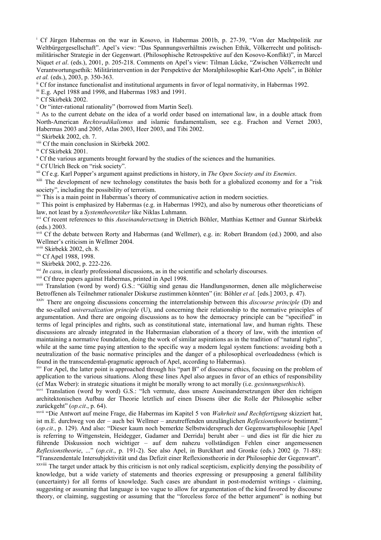<span id="page-16-0"></span><sup>i</sup> Cf Jürgen Habermas on the war in Kosovo, in Habermas 2001b, p. 27-39, "Von der Machtpolitik zur Weltbürgergesellschaft". Apel's view: "Das Spannungsverhältnis zwischen Ethik, Völkerrecht und politischmilitärischer Strategie in der Gegenwart. (Philosophische Retrospektive auf den Kosovo-Konflikt)", in Marcel Niquet *et al*. (eds.), 2001, p. 205-218. Comments on Apel's view: Tilman Lücke, "Zwischen Völkerrecht und Verantwortungsethik: Militärintervention in der Perspektive der Moralphilosophie Karl-Otto Apels", in Böhler *et al.* (eds.), 2003, p. 350-363.

<span id="page-16-1"></span>ii Cf for instance functionalist and institutional arguments in favor of legal normativity, in Habermas 1992.

<span id="page-16-2"></span>iii E.g. Apel 1988 and 1998, and Habermas 1983 and 1991.

<span id="page-16-3"></span>iv Cf Skirbekk 2002.

<span id="page-16-4"></span>v Or "inter-rational rationality" (borrowed from Martin Seel).

<span id="page-16-5"></span>vi As to the current debate on the idea of a world order based on international law, in a double attack from North-American *Rechtsradikalismus* and islamic fundamentalism, see e.g. Frachon and Vernet 2003, Habermas 2003 and 2005, Atlas 2003, Heer 2003, and Tibi 2002.

<span id="page-16-6"></span>vii Skirbekk 2002, ch. 7.

<span id="page-16-7"></span>viii Cf the main conclusion in Skirbekk 2002.

<span id="page-16-8"></span>ix Cf Skirbekk 2001.

<span id="page-16-9"></span><sup>x</sup> Cf the various arguments brought forward by the studies of the sciences and the humanities.

<span id="page-16-10"></span>xi Cf Ulrich Beck on "risk society".

<span id="page-16-11"></span>xii Cf e.g. Karl Popper's argument against predictions in history, in *The Open Society and its Enemies*.

<span id="page-16-12"></span><sup>xiii</sup> The development of new technology constitutes the basis both for a globalized economy and for a "risk society", including the possibility of terrorism.

<span id="page-16-13"></span>xiv This is a main point in Habermas's theory of communicative action in modern societies.

<span id="page-16-14"></span>xv This point is emphasized by Habermas (e.g. in Habermas 1992), and also by numerous other theoreticians of law, not least by a *Systemtheoretiker* like Niklas Luhmann.

<span id="page-16-15"></span>xvi Cf recent references to this *Auseinandersetzung* in Dietrich Böhler, Matthias Kettner and Gunnar Skirbekk (eds.) 2003.

<span id="page-16-16"></span>xvii Cf the debate between Rorty and Habermas (and Wellmer), e.g. in: Robert Brandom (ed.) 2000, and also Wellmer's criticism in Wellmer 2004.

<span id="page-16-17"></span>xviii Skirbekk 2002, ch. 8.

<span id="page-16-18"></span>xix Cf Apel 1988, 1998.

<span id="page-16-19"></span>xx Skirbekk 2002, p. 222-226.

<span id="page-16-20"></span><sup>xxi</sup> *In casu*, in clearly professional discussions, as in the scientific and scholarly discourses.

<span id="page-16-21"></span><sup>xxii</sup> Cf three papers against Habermas, printed in Apel 1998.

<span id="page-16-22"></span>xxiii Translation (word by word) G.S.: "Gültig sind genau die Handlungsnormen, denen alle möglicherweise Betroffenen als Teilnehmer rationaler Diskurse zustimmen könnten" (in: Böhler *et al.* [eds.] 2003, p. 47).

<span id="page-16-23"></span>xxiv There are ongoing discussions concerning the interrelationship between this *discourse principle* (D) and the so-called *universalization principle* (U), and concerning their relationship to the normative principles of argumentation. And there are ongoing discussions as to how the democracy principle can be "specified" in terms of legal principles and rights, such as constitutional state, international law, and human rights. These discussions are already integrated in the Habermasian elaboration of a theory of law, with the intention of maintaining a normative foundation, doing the work of similar aspirations as in the tradition of "natural rights", while at the same time paying attention to the specific way a modern legal system functions: avoiding both a neutralization of the basic normative principles and the danger of a philosophical overloadedness (which is found in the transcendental-pragmatic approach of Apel, according to Habermas).

<span id="page-16-24"></span> $xxy$  For Apel, the latter point is approached through his "part B" of discourse ethics, focusing on the problem of application to the various situations. Along these lines Apel also argues in favor of an ethics of responsibility (cf Max Weber): in strategic situations it might be morally wrong to act morally (i.e. *gesinnungsethisch*).

<span id="page-16-25"></span>xxvi Translation (word by word) G.S.: "Ich vermute, dass unsere Auseinandersetzungen über den richtigen architektonischen Aufbau der Theorie letztlich auf einen Dissens über die Rolle der Philosophie selber zurückgeht" (*op.cit*., p. 64).

<span id="page-16-26"></span>xxvii "Die Antwort auf meine Frage, die Habermas im Kapitel 5 von *Wahrheit und Rechtfertigung* skizziert hat, ist m.E. durchweg von der – auch bei Wellmer – anzutreffenden unzulänglichen *Reflexionstheorie* bestimmt." (*op.cit*., p. 129). And also: "Dieser kaum noch bemerkte Selbstwiderspruch der Gegenwartsphilosophie [Apel is referring to Wittgenstein, Heidegger, Gadamer and Derrida] beruht aber – und dies ist für die hier zu führende Diskussion noch wichtiger – auf dem nahezu vollständigen Fehlen einer angemessenen *Reflexionstheorie*, ..." (*op.cit*., p. 191-2). See also Apel, in Burckhart and Gronke (eds.) 2002 (p. 71-88): "Transzendentale Intersubjektivität und das Defizit einer Reflexionstheorie in der Philosophie der Gegenwart".

<span id="page-16-27"></span><sup>xxviii</sup> The target under attack by this criticism is not only radical scepticism, explicitly denying the possibility of knowledge, but a wide variety of statements and theories expressing or presupposing a general fallibility (uncertainty) for all forms of knowledge. Such cases are abundant in post-modernist writings - claiming, suggesting or assuming that language is too vague to allow for argumentation of the kind favored by discourse theory, or claiming, suggesting or assuming that the "forceless force of the better argument" is nothing but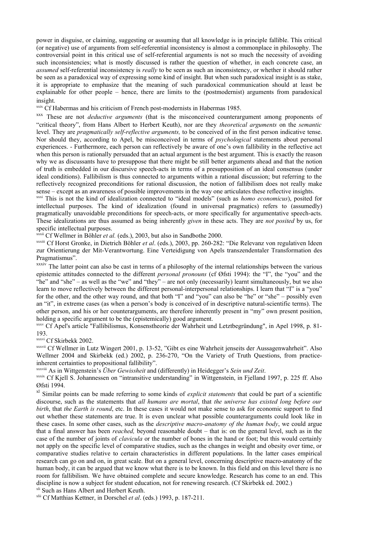power in disguise, or claiming, suggesting or assuming that all knowledge is in principle fallible. This critical (or negative) use of arguments from self-referential inconsistency is almost a commonplace in philosophy. The controversial point in this critical use of self-referential arguments is not so much the necessity of avoiding such inconsistencies; what is mostly discussed is rather the question of whether, in each concrete case, an *assumed* self-referential inconsistency is *really* to be seen as such an inconsistency, or whether it should rather be seen as a paradoxical way of expressing some kind of insight. But when such paradoxical insight is as stake, it is appropriate to emphasize that the meaning of such paradoxical communication should at least be explainable for other people – hence, there are limits to the (postmodernist) arguments from paradoxical insight.

<span id="page-17-0"></span>xxix Cf Habermas and his criticism of French post-modernists in Habermas 1985.

<span id="page-17-1"></span>xxx These are not *deductive arguments* (that is the misconceived counterargument among proponents of "critical theory", from Hans Albert to Herbert Keuth), nor are they *theoretical arguments* on the *semantic* level. They are *pragmatically self-reflective arguments,* to be conceived of in the first person indicative tense. Nor should they, according to Apel, be misconceived in terms of *psychological* statements about personal experiences. - Furthermore, each person can reflectively be aware of one's own fallibility in the reflective act when this person is rationally persuaded that an actual argument is the best argument. This is exactly the reason why we as discussants have to presuppose that there might be still better arguments ahead and that the notion of truth is embedded in our discursive speech-acts in terms of a presupposition of an ideal consensus (under ideal conditions). Fallibilism is thus connected to arguments within a rational discussion; but referring to the reflectively recognized preconditions for rational discussion, the notion of fallibilism does not really make sense – except as an awareness of possible improvements in the way one articulates these reflective insights.

<span id="page-17-2"></span>xxxi This is not the kind of idealization connected to "ideal models" (such as *homo economicus*), posited for intellectual purposes. The kind of idealization (found in universal pragmatics) refers to (assumedly) pragmatically unavoidable preconditions for speech-acts, or more specifically for argumentative speech-acts. These idealizations are thus assumed as being inherently *given* in these acts. They are *not posited* by us, for specific intellectual purposes.

<span id="page-17-3"></span>xxxii Cf Wellmer in Böhler *et al.* (eds.), 2003, but also in Sandbothe 2000.

<span id="page-17-4"></span>xxxiii Cf Horst Gronke, in Dietrich Böhler *et al*. (eds.), 2003, pp. 260-282: "Die Relevanz von regulativen Ideen zur Orientierung der Mit-Verantwortung. Eine Verteidigung von Apels transzendentaler Transformation des Pragmatismus".

<span id="page-17-5"></span><sup>xxxiv</sup> The latter point can also be cast in terms of a philosophy of the internal relationships between the various epistemic attitudes connected to the different *personal pronouns* (cf Øfsti 1994): the "I", the "you" and the "he" and "she" – as well as the "we" and "they" – are not only (necessarily) learnt simultaneously, but we also learn to move reflectively between the different personal-interpersonal relationships. I learn that "I" is a "you" for the other, and the other way round, and that both "I" and "you" can also be "he" or "she" – possibly even an "it", in extreme cases (as when a person's body is conceived of in descriptive natural-scientific terms). The other person, and his or her counterarguments, are therefore inherently present in "my" own present position, holding a specific argument to be the (epistemically) good argument.

<span id="page-17-6"></span>xxxv Cf Apel's article "Fallibilismus, Konsenstheorie der Wahrheit und Letztbegründung", in Apel 1998, p. 81- 193.

<span id="page-17-7"></span>xxxvi Cf Skirbekk 2002.

<span id="page-17-8"></span>xxxvii Cf Wellmer in Lutz Wingert 2001, p. 13-52, "Gibt es eine Wahrheit jenseits der Aussagenwahrheit". Also Wellmer 2004 and Skirbekk (ed.) 2002, p. 236-270, "On the Variety of Truth Questions, from practiceinherent certainties to propositional fallibility".

<span id="page-17-9"></span>xxxviii As in Wittgenstein's *Über Gewissheit* and (differently) in Heidegger's *Sein und Zeit*.

<span id="page-17-10"></span>xxxix Cf Kjell S. Johannessen on "intransitive understanding" in Wittgenstein, in Fjelland 1997, p. 225 ff. Also Øfsti 1994.

<span id="page-17-11"></span>xl Similar points can be made referring to some kinds of *explicit statements* that could be part of a scientific discourse, such as the statements that *all humans are mortal*, that *the universe has existed long before our birth*, that *the Earth is round*, etc. In these cases it would not make sense to ask for economic support to find out whether these statements are true. It is even unclear what possible counterarguments could look like in these cases. In some other cases, such as the *descriptive macro-anatomy of the human body*, we could argue that a final answer has been *reached,* beyond reasonable doubt – that is: on the general level, such as in the case of the number of joints of *clavicula* or the number of bones in the hand or foot; but this would certainly not apply on the specific level of comparative studies, such as the changes in weight and obesity over time, or comparative studies relative to certain characteristics in different populations. In the latter cases empirical research can go on and on, in great scale. But on a general level, concerning descriptive macro-anatomy of the human body, it can be argued that we know what there is to be known. In this field and on this level there is no room for fallibilism. We have obtained complete and secure knowledge. Research has come to an end. This discipline is now a subject for student education, not for renewing research. (Cf Skirbekk ed. 2002.) xli Such as Hans Albert and Herbert Keuth.

<span id="page-17-13"></span><span id="page-17-12"></span>xlii Cf Matthias Kettner, in Dorschel *et al*. (eds.) 1993, p. 187-211.